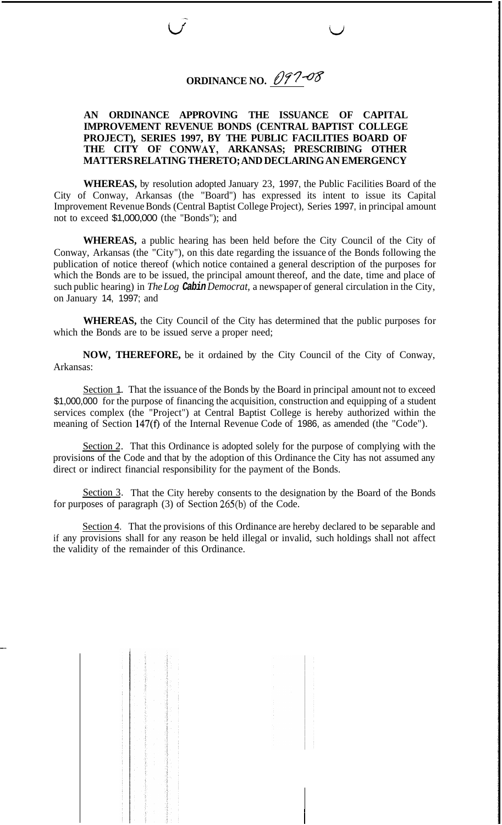## **ORDINANCE NO.** 097-08

*w'* L)

## **AN ORDINANCE APPROVING THE ISSUANCE OF CAPITAL IMPROVEMENT REVENUE BONDS (CENTRAL BAPTIST COLLEGE PROJECT), SERIES 1997, BY THE PUBLIC FACILITIES BOARD OF THE CITY OF CONWAY, ARKANSAS; PRESCRIBING OTHER MATTERS RELATING THERETO; AND DECLARING AN EMERGENCY**

**WHEREAS,** by resolution adopted January 23, 1997, the Public Facilities Board of the City of Conway, Arkansas (the "Board") has expressed its intent to issue its Capital Improvement Revenue Bonds (Central Baptist College Project), Series 1997, in principal amount not to exceed \$1,000,000 (the "Bonds"); and

**WHEREAS,** a public hearing has been held before the City Council of the City of Conway, Arkansas (the "City"), on this date regarding the issuance of the Bonds following the publication of notice thereof (which notice contained a general description of the purposes for which the Bonds are to be issued, the principal amount thereof, and the date, time and place of such public hearing) in *The Log Cabin Democrat,* a newspaper of general circulation in the City, on January 14, 1997; and

**WHEREAS,** the City Council of the City has determined that the public purposes for which the Bonds are to be issued serve a proper need;

**NOW, THEREFORE,** be it ordained by the City Council of the City of Conway, Arkansas:

Section 1. That the issuance of the Bonds by the Board in principal amount not to exceed \$1,000,000 for the purpose of financing the acquisition, construction and equipping of a student services complex (the "Project") at Central Baptist College is hereby authorized within the meaning of Section 147(f) of the Internal Revenue Code of 1986, as amended (the "Code").

Section 2. That this Ordinance is adopted solely for the purpose of complying with the provisions of the Code and that by the adoption of this Ordinance the City has not assumed any direct or indirect financial responsibility for the payment of the Bonds.

Section 3. That the City hereby consents to the designation by the Board of the Bonds for purposes of paragraph (3) of Section 265(b) of the Code.

Section 4. That the provisions of this Ordinance are hereby declared to be separable and if any provisions shall for any reason be held illegal or invalid, such holdings shall not affect the validity of the remainder of this Ordinance.